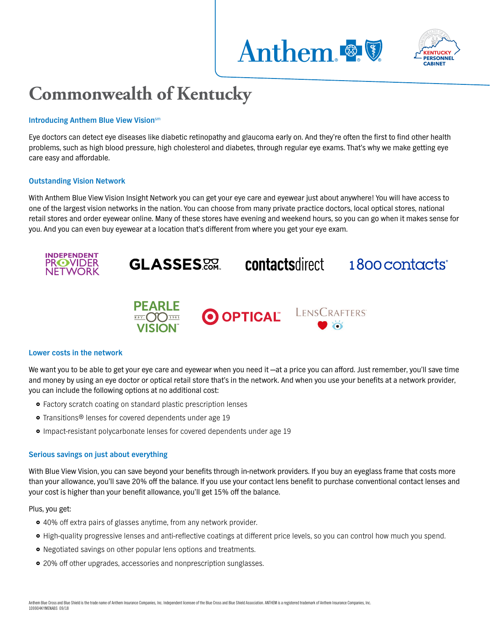



# **Commonwealth of Kentucky**

## **Introducing Anthem Blue View Vision**sm

Eye doctors can detect eye diseases like diabetic retinopathy and glaucoma early on. And they're often the first to find other health problems, such as high blood pressure, high cholesterol and diabetes, through regular eye exams. That's why we make getting eye care easy and affordable.

## **Outstanding Vision Network**

With Anthem Blue View Vision Insight Network you can get your eye care and eyewear just about anywhere! You will have access to one of the largest vision networks in the nation. You can choose from many private practice doctors, local optical stores, national retail stores and order eyewear online. Many of these stores have evening and weekend hours, so you can go when it makes sense for you. And you can even buy eyewear at a location that's different from where you get your eye exam.



#### **Lower costs in the network**

We want you to be able to get your eye care and eyewear when you need it —at a price you can afford. Just remember, you'll save time and money by using an eye doctor or optical retail store that's in the network. And when you use your benefits at a network provider, you can include the following options at no additional cost:

- Factory scratch coating on standard plastic prescription lenses
- **•** Transitions® lenses for covered dependents under age 19
- }} Impact-resistant polycarbonate lenses for covered dependents under age 19

#### **Serious savings on just about everything**

With Blue View Vision, you can save beyond your benefits through in-network providers. If you buy an eyeglass frame that costs more than your allowance, you'll save 20% off the balance. If you use your contact lens benefit to purchase conventional contact lenses and your cost is higher than your benefit allowance, you'll get 15% off the balance.

Plus, you get:

- 40% off extra pairs of glasses anytime, from any network provider.
- }} High-quality progressive lenses and anti-reflective coatings at different price levels, so you can control how much you spend.
- Negotiated savings on other popular lens options and treatments.
- 20% off other upgrades, accessories and nonprescription sunglasses.